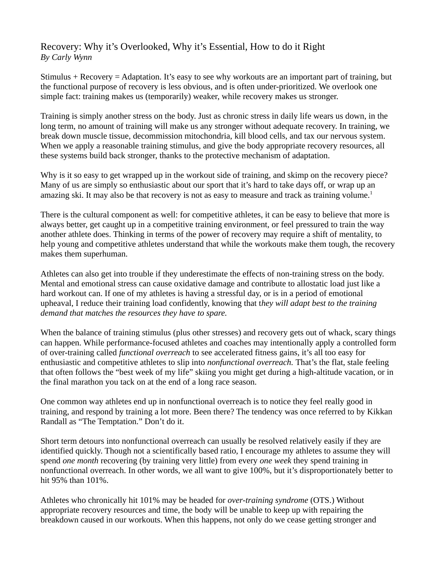## Recovery: Why it's Overlooked, Why it's Essential, How to do it Right *By Carly Wynn*

Stimulus + Recovery = Adaptation. It's easy to see why workouts are an important part of training, but the functional purpose of recovery is less obvious, and is often under-prioritized. We overlook one simple fact: training makes us (temporarily) weaker, while recovery makes us stronger.

Training is simply another stress on the body. Just as chronic stress in daily life wears us down, in the long term, no amount of training will make us any stronger without adequate recovery. In training, we break down muscle tissue, decommission mitochondria, kill blood cells, and tax our nervous system. When we apply a reasonable training stimulus, and give the body appropriate recovery resources, all these systems build back stronger, thanks to the protective mechanism of adaptation.

Why is it so easy to get wrapped up in the workout side of training, and skimp on the recovery piece? Many of us are simply so enthusiastic about our sport that it's hard to take days off, or wrap up an amazing ski. It may also be that recovery is not as easy to measure and track as training volume.<sup>1</sup>

There is the cultural component as well: for competitive athletes, it can be easy to believe that more is always better, get caught up in a competitive training environment, or feel pressured to train the way another athlete does. Thinking in terms of the power of recovery may require a shift of mentality, to help young and competitive athletes understand that while the workouts make them tough, the recovery makes them superhuman.

Athletes can also get into trouble if they underestimate the effects of non-training stress on the body. Mental and emotional stress can cause oxidative damage and contribute to allostatic load just like a hard workout can. If one of my athletes is having a stressful day, or is in a period of emotional upheaval, I reduce their training load confidently, knowing that t*hey will adapt best to the training demand that matches the resources they have to spare.* 

When the balance of training stimulus (plus other stresses) and recovery gets out of whack, scary things can happen. While performance-focused athletes and coaches may intentionally apply a controlled form of over-training called *functional overreach* to see accelerated fitness gains, it's all too easy for enthusiastic and competitive athletes to slip into *nonfunctional overreach.* That's the flat, stale feeling that often follows the "best week of my life" skiing you might get during a high-altitude vacation, or in the final marathon you tack on at the end of a long race season.

One common way athletes end up in nonfunctional overreach is to notice they feel really good in training, and respond by training a lot more. Been there? The tendency was once referred to by Kikkan Randall as "The Temptation." Don't do it.

Short term detours into nonfunctional overreach can usually be resolved relatively easily if they are identified quickly. Though not a scientifically based ratio, I encourage my athletes to assume they will spend *one month* recovering (by training very little) from every *one week* they spend training in nonfunctional overreach. In other words, we all want to give 100%, but it's disproportionately better to hit 95% than 101%.

Athletes who chronically hit 101% may be headed for *over-training syndrome* (OTS.) Without appropriate recovery resources and time, the body will be unable to keep up with repairing the breakdown caused in our workouts. When this happens, not only do we cease getting stronger and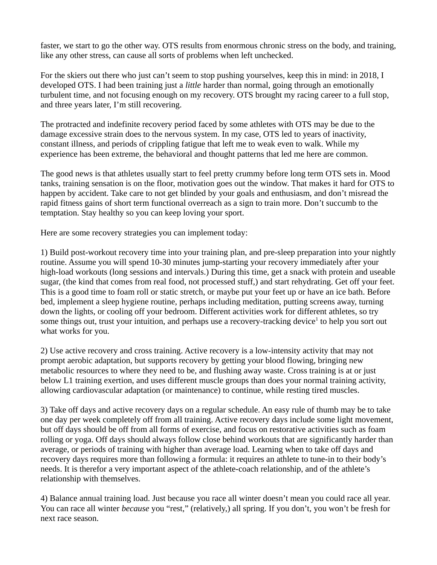faster, we start to go the other way. OTS results from enormous chronic stress on the body, and training, like any other stress, can cause all sorts of problems when left unchecked.

For the skiers out there who just can't seem to stop pushing yourselves, keep this in mind: in 2018, I developed OTS. I had been training just a *little* harder than normal, going through an emotionally turbulent time, and not focusing enough on my recovery. OTS brought my racing career to a full stop, and three years later, I'm still recovering.

The protracted and indefinite recovery period faced by some athletes with OTS may be due to the damage excessive strain does to the nervous system. In my case, OTS led to years of inactivity, constant illness, and periods of crippling fatigue that left me to weak even to walk. While my experience has been extreme, the behavioral and thought patterns that led me here are common.

The good news is that athletes usually start to feel pretty crummy before long term OTS sets in. Mood tanks, training sensation is on the floor, motivation goes out the window. That makes it hard for OTS to happen by accident. Take care to not get blinded by your goals and enthusiasm, and don't misread the rapid fitness gains of short term functional overreach as a sign to train more. Don't succumb to the temptation. Stay healthy so you can keep loving your sport.

Here are some recovery strategies you can implement today:

1) Build post-workout recovery time into your training plan, and pre-sleep preparation into your nightly routine. Assume you will spend 10-30 minutes jump-starting your recovery immediately after your high-load workouts (long sessions and intervals.) During this time, get a snack with protein and useable sugar, (the kind that comes from real food, not processed stuff,) and start rehydrating. Get off your feet. This is a good time to foam roll or static stretch, or maybe put your feet up or have an ice bath. Before bed, implement a sleep hygiene routine, perhaps including meditation, putting screens away, turning down the lights, or cooling off your bedroom. Different activities work for different athletes, so try some things out, trust your intuition, and perhaps use a recovery-tracking device<sup>1</sup> to help you sort out what works for you.

2) Use active recovery and cross training. Active recovery is a low-intensity activity that may not prompt aerobic adaptation, but supports recovery by getting your blood flowing, bringing new metabolic resources to where they need to be, and flushing away waste. Cross training is at or just below L1 training exertion, and uses different muscle groups than does your normal training activity, allowing cardiovascular adaptation (or maintenance) to continue, while resting tired muscles.

3) Take off days and active recovery days on a regular schedule. An easy rule of thumb may be to take one day per week completely off from all training. Active recovery days include some light movement, but off days should be off from all forms of exercise, and focus on restorative activities such as foam rolling or yoga. Off days should always follow close behind workouts that are significantly harder than average, or periods of training with higher than average load. Learning when to take off days and recovery days requires more than following a formula: it requires an athlete to tune-in to their body's needs. It is therefor a very important aspect of the athlete-coach relationship, and of the athlete's relationship with themselves.

4) Balance annual training load. Just because you race all winter doesn't mean you could race all year. You can race all winter *because* you "rest," (relatively,) all spring. If you don't, you won't be fresh for next race season.